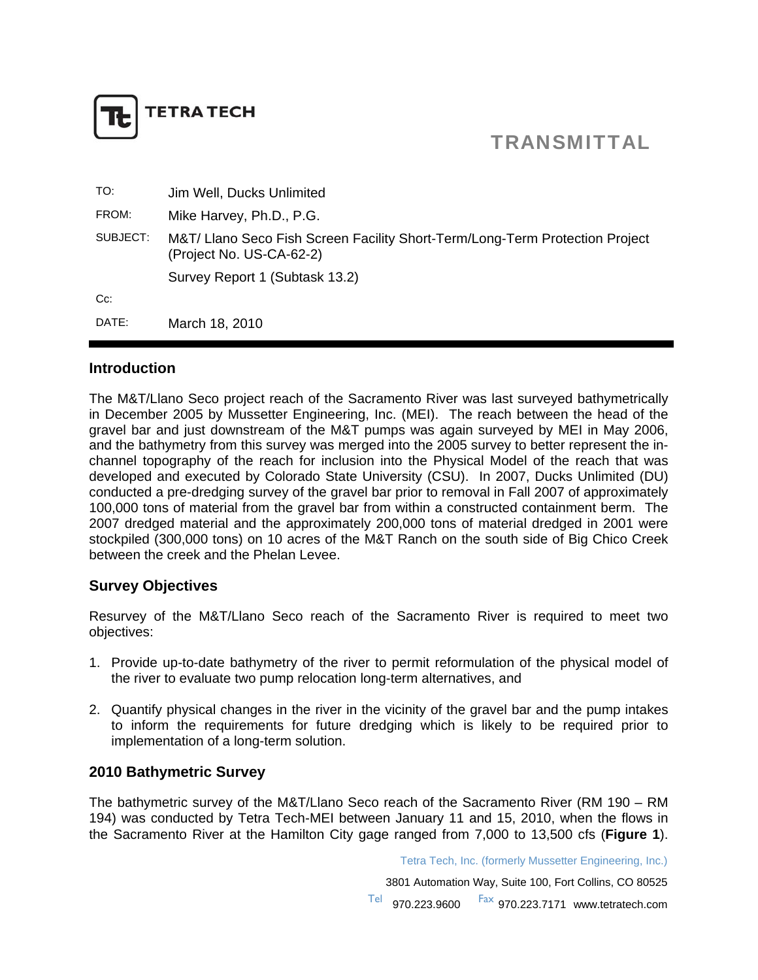

# TRANSMITTAL

| TO:      | Jim Well, Ducks Unlimited                                                                                |
|----------|----------------------------------------------------------------------------------------------------------|
| FROM:    | Mike Harvey, Ph.D., P.G.                                                                                 |
| SUBJECT: | M&T/ Llano Seco Fish Screen Facility Short-Term/Long-Term Protection Project<br>(Project No. US-CA-62-2) |
|          | Survey Report 1 (Subtask 13.2)                                                                           |
| $Cc$ :   |                                                                                                          |
| DATE:    | March 18, 2010                                                                                           |

### **Introduction**

The M&T/Llano Seco project reach of the Sacramento River was last surveyed bathymetrically in December 2005 by Mussetter Engineering, Inc. (MEI). The reach between the head of the gravel bar and just downstream of the M&T pumps was again surveyed by MEI in May 2006, and the bathymetry from this survey was merged into the 2005 survey to better represent the inchannel topography of the reach for inclusion into the Physical Model of the reach that was developed and executed by Colorado State University (CSU). In 2007, Ducks Unlimited (DU) conducted a pre-dredging survey of the gravel bar prior to removal in Fall 2007 of approximately 100,000 tons of material from the gravel bar from within a constructed containment berm. The 2007 dredged material and the approximately 200,000 tons of material dredged in 2001 were stockpiled (300,000 tons) on 10 acres of the M&T Ranch on the south side of Big Chico Creek between the creek and the Phelan Levee.

### **Survey Objectives**

Resurvey of the M&T/Llano Seco reach of the Sacramento River is required to meet two objectives:

- 1. Provide up-to-date bathymetry of the river to permit reformulation of the physical model of the river to evaluate two pump relocation long-term alternatives, and
- 2. Quantify physical changes in the river in the vicinity of the gravel bar and the pump intakes to inform the requirements for future dredging which is likely to be required prior to implementation of a long-term solution.

### **2010 Bathymetric Survey**

The bathymetric survey of the M&T/Llano Seco reach of the Sacramento River (RM 190 – RM 194) was conducted by Tetra Tech-MEI between January 11 and 15, 2010, when the flows in the Sacramento River at the Hamilton City gage ranged from 7,000 to 13,500 cfs (**Figure 1**).

Tetra Tech, Inc. (formerly Mussetter Engineering, Inc.)

3801 Automation Way, Suite 100, Fort Collins, CO 80525

970.223.9600 Fax 970.223.7171 www.tetratech.com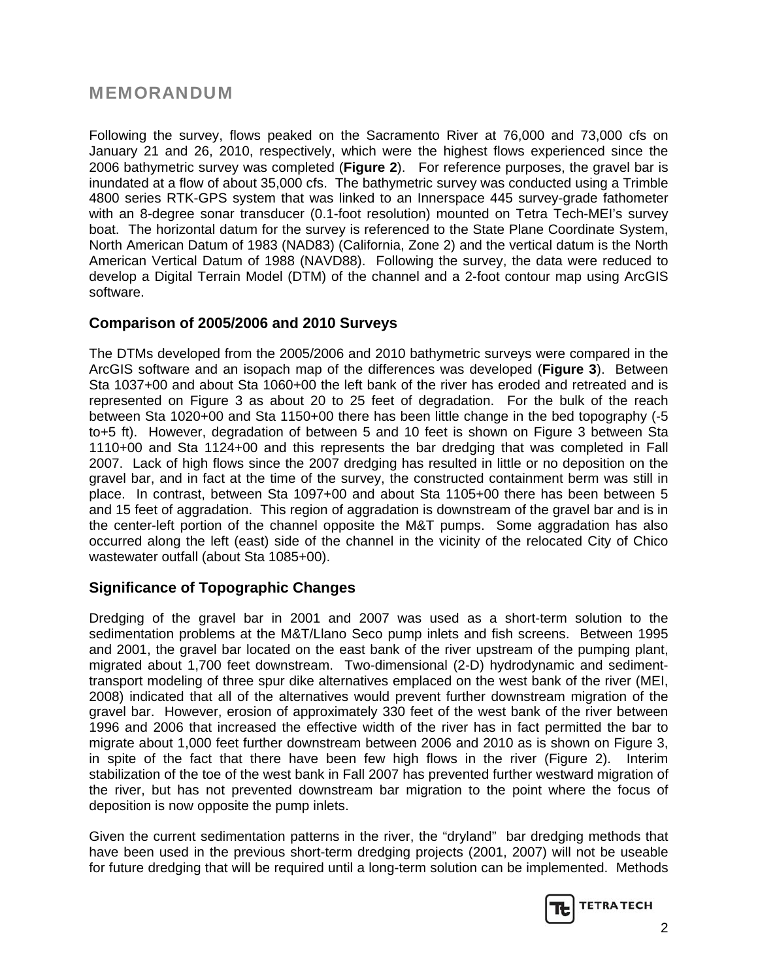# MEMORANDUM

Following the survey, flows peaked on the Sacramento River at 76,000 and 73,000 cfs on January 21 and 26, 2010, respectively, which were the highest flows experienced since the 2006 bathymetric survey was completed (**Figure 2**). For reference purposes, the gravel bar is inundated at a flow of about 35,000 cfs. The bathymetric survey was conducted using a Trimble 4800 series RTK-GPS system that was linked to an Innerspace 445 survey-grade fathometer with an 8-degree sonar transducer (0.1-foot resolution) mounted on Tetra Tech-MEI's survey boat. The horizontal datum for the survey is referenced to the State Plane Coordinate System, North American Datum of 1983 (NAD83) (California, Zone 2) and the vertical datum is the North American Vertical Datum of 1988 (NAVD88). Following the survey, the data were reduced to develop a Digital Terrain Model (DTM) of the channel and a 2-foot contour map using ArcGIS software.

## **Comparison of 2005/2006 and 2010 Surveys**

The DTMs developed from the 2005/2006 and 2010 bathymetric surveys were compared in the ArcGIS software and an isopach map of the differences was developed (**Figure 3**). Between Sta 1037+00 and about Sta 1060+00 the left bank of the river has eroded and retreated and is represented on Figure 3 as about 20 to 25 feet of degradation. For the bulk of the reach between Sta 1020+00 and Sta 1150+00 there has been little change in the bed topography (-5 to+5 ft). However, degradation of between 5 and 10 feet is shown on Figure 3 between Sta 1110+00 and Sta 1124+00 and this represents the bar dredging that was completed in Fall 2007. Lack of high flows since the 2007 dredging has resulted in little or no deposition on the gravel bar, and in fact at the time of the survey, the constructed containment berm was still in place. In contrast, between Sta 1097+00 and about Sta 1105+00 there has been between 5 and 15 feet of aggradation. This region of aggradation is downstream of the gravel bar and is in the center-left portion of the channel opposite the M&T pumps. Some aggradation has also occurred along the left (east) side of the channel in the vicinity of the relocated City of Chico wastewater outfall (about Sta 1085+00).

## **Significance of Topographic Changes**

Dredging of the gravel bar in 2001 and 2007 was used as a short-term solution to the sedimentation problems at the M&T/Llano Seco pump inlets and fish screens. Between 1995 and 2001, the gravel bar located on the east bank of the river upstream of the pumping plant, migrated about 1,700 feet downstream. Two-dimensional (2-D) hydrodynamic and sedimenttransport modeling of three spur dike alternatives emplaced on the west bank of the river (MEI, 2008) indicated that all of the alternatives would prevent further downstream migration of the gravel bar. However, erosion of approximately 330 feet of the west bank of the river between 1996 and 2006 that increased the effective width of the river has in fact permitted the bar to migrate about 1,000 feet further downstream between 2006 and 2010 as is shown on Figure 3, in spite of the fact that there have been few high flows in the river (Figure 2). Interim stabilization of the toe of the west bank in Fall 2007 has prevented further westward migration of the river, but has not prevented downstream bar migration to the point where the focus of deposition is now opposite the pump inlets.

Given the current sedimentation patterns in the river, the "dryland" bar dredging methods that have been used in the previous short-term dredging projects (2001, 2007) will not be useable for future dredging that will be required until a long-term solution can be implemented. Methods

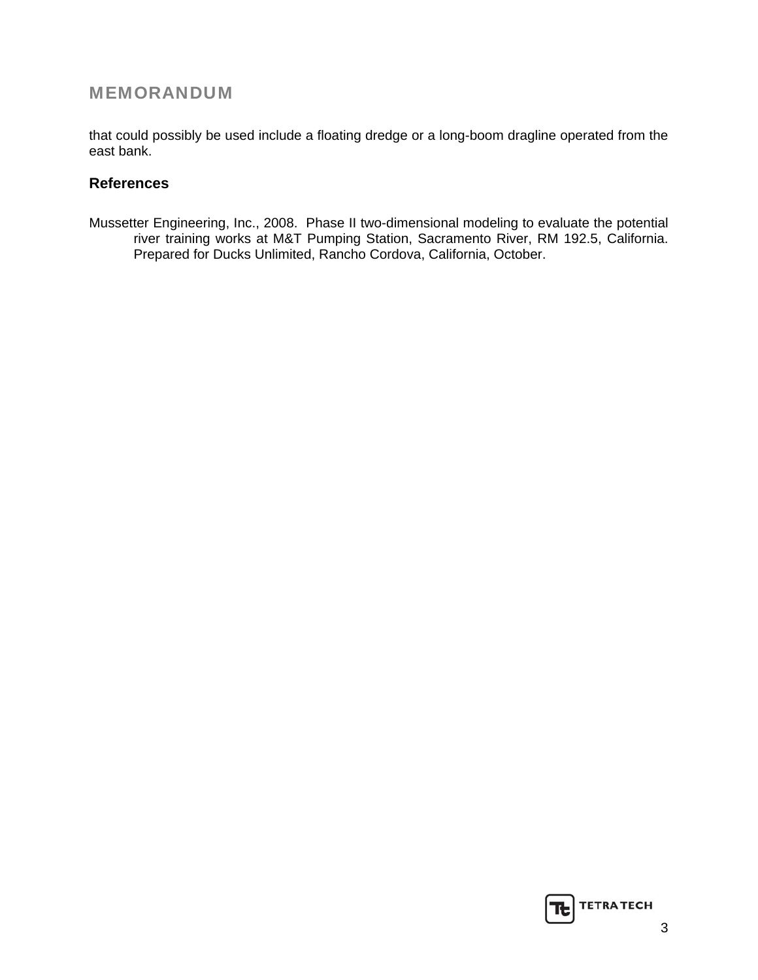# MEMORANDUM

that could possibly be used include a floating dredge or a long-boom dragline operated from the east bank.

## **References**

Mussetter Engineering, Inc., 2008. Phase II two-dimensional modeling to evaluate the potential river training works at M&T Pumping Station, Sacramento River, RM 192.5, California. Prepared for Ducks Unlimited, Rancho Cordova, California, October.

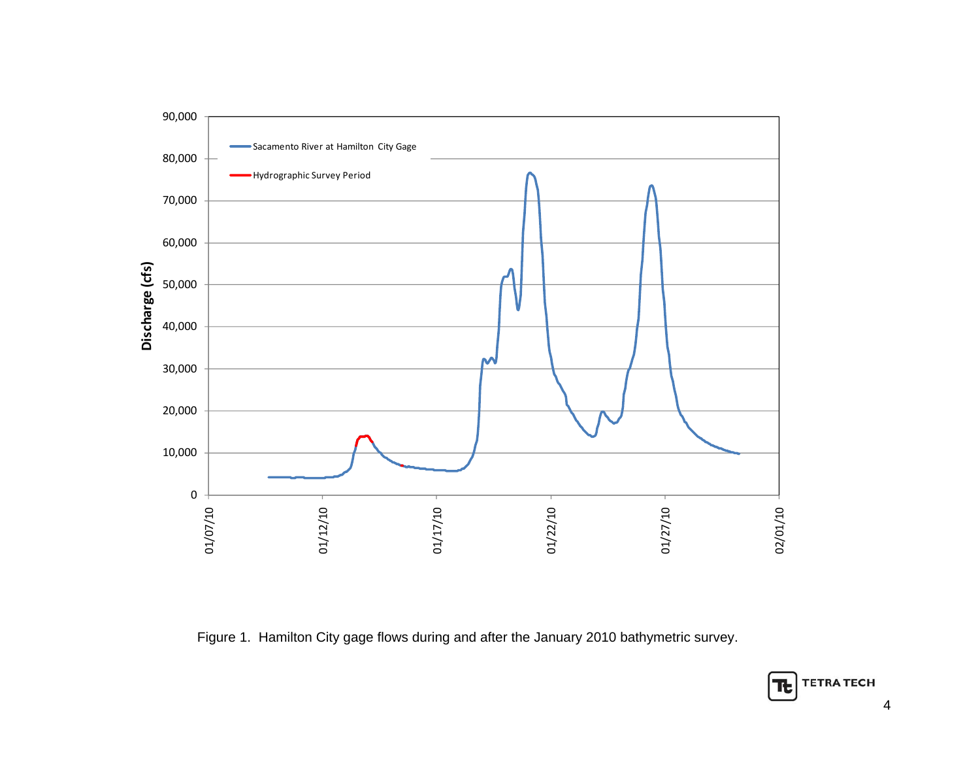

Figure 1. Hamilton City gage flows during and after the January 2010 bathymetric survey.

4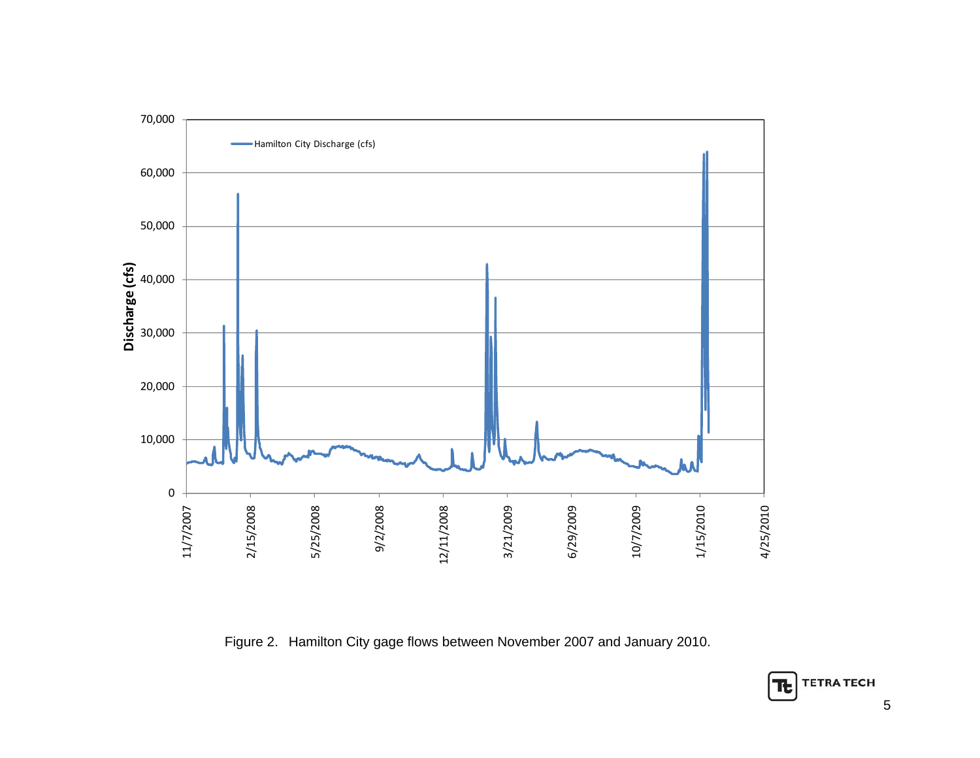

Figure 2. Hamilton City gage flows between November 2007 and January 2010.